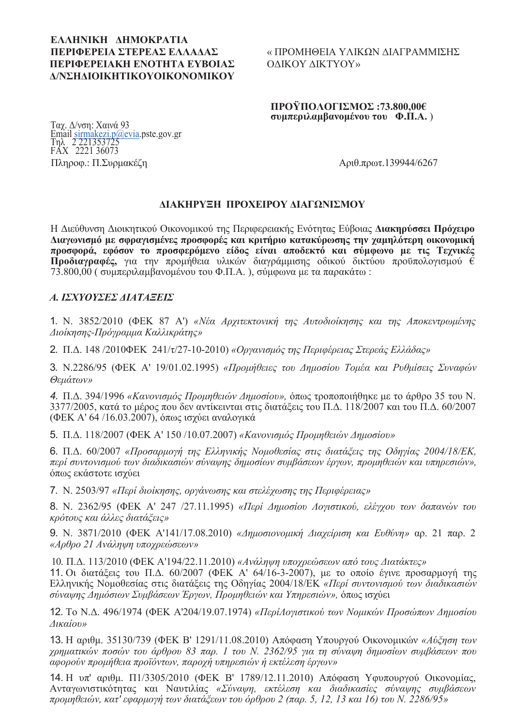#### **EAAHNIKH AHMOKPATIA --** « -**ΠΕΡΙΦΕΡΕΙΑΚΗ ΕΝΟΤΗΤΑ ΕΥΒΟΙΑΣ** ΟΔΙΚΟΥ **/**

## ΟΜΗΘΕΙΑ ΥΛΙΚΩΝ ΔΙΑΓΡΑΜΜΙΣΗΣ ΔIΚTYOY»

#### ΠΡΟΫΠΟΛΟΓΙΣΜΟΣ :73.800,00€  $\sigma$   $\sigma$   $\mu$   $\pi$  **c**  $\sigma$   $\mu$   $\sigma$ **<b>. I I** *C* $\sigma$ **<b>. I I I C** *C* **I I C C I I C C I I C C I I C I C I C I C I C I I C I C I**

<u>Τ</u>αχ. Δ/νση: Χαινά 93 Email sirmakezi.p@evia.pste.gov.gr 2 221353725 FAX 2221 36073  $Πληροφ$ .:  $Π.Συρμακέζη  $Aριθ.πρωτ.139944/6267$$ 

### **ΔΙΑΚΗΡΥΞΗ ΠΡΟΧΕΙΡΟΥ ΔΙΑΓΩΝΙΣΜΟΥ**

Η Διεύθυνση Διοικητικού Οικονομικού της Περιφερειακής Ενότητας Εύβοιας Διακηρύσσει Πρόγειρο  $\Delta$ ιαγωνισμό με σφραγισμένες προσφορές και κριτήριο κατακύρωσης την χαμηλότερη οικονομική προσφορά, εφόσον το προσφερόμενο είδος είναι αποδεκτό και σύμφωνο με τις Τεχνικές **Προδιαγραφές,** για την προμήθεια υλικών διαγράμμισης οδικού δικτύου προϋπολογισμού €  $73.800,00$  ( συμπεριλαμβανομένου του Φ.Π.Α.), σύμφωνα με τα παρακάτω:

## *A. IΣΧΥΟΥΣΕΣ ΔΙΑΤΑΞΕΙΣ*

1. Ν. 3852/2010 (ΦΕΚ 87 Α') «Νέα Αρχιτεκτονική της Αυτοδιοίκησης και της Αποκεντρωμένης *Διοίκησης-Πρόγραμμα Καλλικράτης»* 

2. Π.Δ. 148 /2010ΦΕΚ 241/τ/27-10-2010) «Οργανισμός της Περιφέρειας Στερεάς Ελλάδας»

3. Ν.2286/95 (ΦΕΚ Α' 19/01.02.1995) *«Προμήθειες του Δημοσίου Τομέα και Ρυθμίσεις Συναφών*  $\theta$ εμάτων»

4. Π.Δ. 394/1996 «Κανονισμός Προμηθειών Δημοσίου», όπως τροποποιήθηκε με το άρθρο 35 του Ν. 3377/2005, κατά το μέρος που δεν αντίκεινται στις διατάξεις του Π.Δ. 118/2007 και του Π.Δ. 60/2007 (ΦΕΚ Α' 64/16.03.2007), όπως ισχύει αναλογικά

5. Π.Δ. 118/2007 (ΦΕΚ Α' 150 /10.07.2007) «Κανονισμός Προμηθειών Δημοσίου»

6. Π.Δ. 60/2007 *«Προσαρμογή της Ελληνικής Νομοθεσίας στις διατάζεις της Οδηγίας 2004/18/ΕΚ,* περί συντονισμού των διαδικασιών σύναψης δημοσίων συμβάσεων έργων, προμηθειών και υπηρεσιών», όπως εκάστοτε ισγύει

7. Ν. 2503/97 «Περί διοίκησης, οργάνωσης και στελέχωσης της Περιφέρειας»

8. Ν. 2362/95 (ΦΕΚ Α' 247 /27.11.1995) «Περί Δημοσίου Λογιστικού, ελέγχου των δαπανών του *κρότους και άλλες διατάξεις»* 

9. Ν. 3871/2010 (ΦΕΚ Α'141/17.08.2010) *«Δημοσιονομική Διαχείριση και Ευθύνη»* αρ. 21 παρ. 2  $\alpha$  *<i>«Αρθρο 21 Ανάληψη υποχρεώσεων»* 

10. Π.Δ. 113/2010 (ΦΕΚ Α'194/22.11.2010) «Ανάληψη υποχρεώσεων από τους Διατάκτες»

11. Οι διατάξεις του Π.Δ. 60/2007 (ΦΕΚ Α' 64/16-3-2007), με το οποίο έγινε προσαρμογή της Ελληνικής Νομοθεσίας στις διατάξεις της Οδηγίας 2004/18/ΕΚ *«Περί συντονισμού των διαδικασιών σύναψης Δημόσιων Συμβάσεων Έργων, Προμηθειών και Υπηρεσιών», όπως ισχύει* 

12. Το Ν.Δ. 496/1974 (ΦΕΚ Α'204/19.07.1974) «ΠερίΛογιστικού των Νομικών Προσώπων Δημοσίου  *»*

13. Η αριθμ. 35130/739 (ΦΕΚ Β' 1291/11.08.2010) Απόφαση Υπουργού Οικονομικών «Αύξηση των χρηματικών ποσών του άρθρου 83 παρ. 1 του Ν. 2362/95 για τη σύναψη δημοσίων συμβάσεων που αφορούν προμήθεια προϊόντων, παροχή υπηρεσιών ή εκτέλεση έργων»

14. Η υπ' αριθμ. Π1/3305/2010 (ΦΕΚ Β' 1789/12.11.2010) Απόφαση Υφυπουργού Οικονομίας,  $A$ νταγωνιστικότητας και Ναυτιλίας *«Σύναψη, εκτέλεση και διαδικασίες σύναψης συμβάσεων " %, ' 
 '  " 2 (. 5, 12, 13 16) . 2286/95»*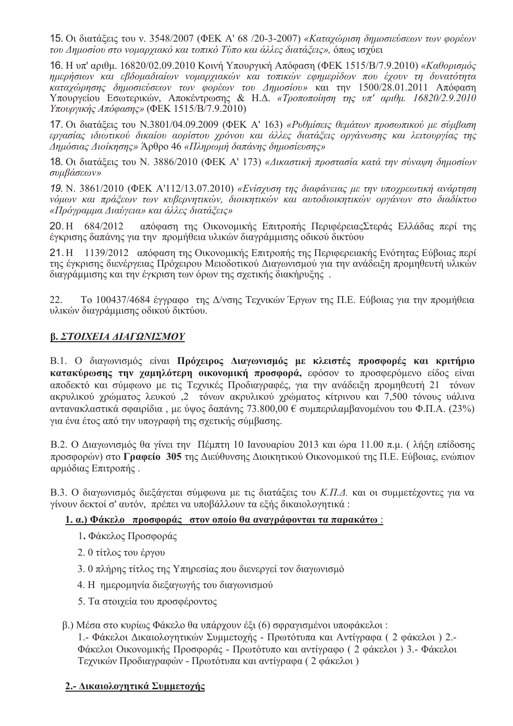15. Οι διατάξεις του ν. 3548/2007 (ΦΕΚ Α' 68/20-3-2007) «Καταχώριση δημοσιεύσεων των φορέων του Δημοσίου στο νομαρχιακό και τοπικό Τύπο και άλλες διατάζεις», όπως ισχύει

16. Η υπ' αριθμ. 16820/02.09.2010 Κοινή Υπουργική Απόφαση (ΦΕΚ 1515/Β/7.9.2010) «Καθορισμός ημερήσιων και εβδομαδιαίων νομαργιακών και τοπικών εφημερίδων που έγουν τη δυνατότητα καταχώρησης δημοσιεύσεων των φορέων του Δημοσίου» και την 1500/28.01.2011 Απόφαση Υπουργείου Εσωτερικών, Αποκέντρωσης & Η.Δ. «Τροποποίηση της υπ' αριθμ. 16820/2.9.2010 Υπουργικής Απόφασης» (ΦΕΚ 1515/Β/7.9.2010)

17. Οι διατάξεις του Ν.3801/04.09.2009 (ΦΕΚ Α' 163) «Ρυθμίσεις θεμάτων προσωπικού με σύμβαση εργασίας ιδιωτικού δικαίου αορίστου χρόνου και άλλες διατάζεις οργάνωσης και λειτουργίας της .<br>Δημόσιας Διοίκησης» Άρθρο 46 «Πληρωμή δαπάνης δημοσίευσης»

18. Οι διατάξεις του Ν. 3886/2010 (ΦΕΚ Α' 173) «Δικαστική προστασία κατά την σύναψη δημοσίων συμβάσεων»

19. Ν. 3861/2010 (ΦΕΚ Α'112/13.07.2010) «Ενίσχυση της διαφάνειας με την υποχρεωτική ανάρτηση νόμων και πράζεων των κυβερνητικών, διοικητικών και αυτοδιοικητικών οργάνων στο διαδίκτυο «Πρόγραμμα Διαύγεια» και άλλες διατάζεις»

απόφαση της Οικονομικής Επιτροπής Περιφέρειας Στεράς Ελλάδας περί της 20. H 684/2012 έγκρισης δαπάνης για την προμήθεια υλικών διαγράμμισης οδικού δικτύου

21 H 1139/2012 απόφαση της Οικονομικής Επιτροπής της Περιφερειακής Ενότητας Εύβοιας περί της έγκρισης διενέργειας Πρόγειρου Μειοδοτικού Διαγωνισμού για την ανάδειξη προμηθευτή υλικών διαγράμμισης και την έγκριση των όρων της σχετικής διακήρυξης.

 $22$ Το 100437/4684 έγγραφο της Δ/νσης Τεχνικών Έργων της Π.Ε. Εύβοιας για την προμήθεια υλικών διαγράμμισης οδικού δικτύου.

# Β. ΣΤΟΙΧΕΙΑ ΔΙΑΓΩΝΙΣΜΟΥ

Β.1. Ο διαγωνισμός είναι Πρόγειρος Διαγωνισμός με κλειστές προσφορές και κριτήριο κατακύρωσης την γαμηλότερη οικονομική προσφορά, εφόσον το προσφερόμενο είδος είναι αποδεκτό και σύμφωνο με τις Τεχνικές Προδιαγραφές, για την ανάδειξη προμηθευτή 21 τόνων ακρυλικού χρώματος λευκού ,2 τόνων ακρυλικού γρώματος κίτρινου και 7.500 τόνους υάλινα αντανακλαστικά σφαιρίδια, με ύψος δαπάνης 73.800,00 € συμπεριλαμβανομένου του Φ.Π.Α. (23%) για ένα έτος από την υπογραφή της σγετικής σύμβασης.

Β.2. Ο Διαγωνισμός θα γίνει την Πέμπτη 10 Ιανουαρίου 2013 και ώρα 11.00 π.μ. (λήξη επίδοσης προσφορών) στο Γραφείο 305 της Διεύθυνσης Διοικητικού Οικονομικού της Π.Ε. Εύβοιας, ενώπιον αρμόδιας Επιτροπής.

Β.3. Ο διαγωνισμός διεξάγεται σύμφωνα με τις διατάξεις του Κ.Π.Δ. και οι συμμετέχοντες για να γίνουν δεκτοί σ' αυτόν, πρέπει να υποβάλλουν τα εξής δικαιολογητικά:

#### 1. α.) Φάκελο προσφοράς στον οποίο θα αναγράφονται τα παρακάτω:

- 1. Φάκελος Προσφοράς
- 2. 0 τίτλος του έργου
- 3. 0 πλήρης τίτλος της Υπηρεσίας που διενεργεί τον διαγωνισμό
- 4. Η ημερομηνία διεξανωνής του διανωνισμού
- 5. Τα στοιχεία του προσφέροντος

#### β.) Μέσα στο κυρίως Φάκελο θα υπάρχουν έξι (6) σφραγισμένοι υποφάκελοι:

1.- Φάκελοι Δικαιολογητικών Συμμετοχής - Πρωτότυπα και Αντίγραφα (2 φάκελοι) 2.-Φάκελοι Οικονομικής Προσφοράς - Πρωτότυπο και αντίγραφο (2 φάκελοι) 3.- Φάκελοι Τεγνικών Προδιαγραφών - Πρωτότυπα και αντίγραφα (2 φάκελοι)

### 2.- Δικαιολογητικά Συμμετογής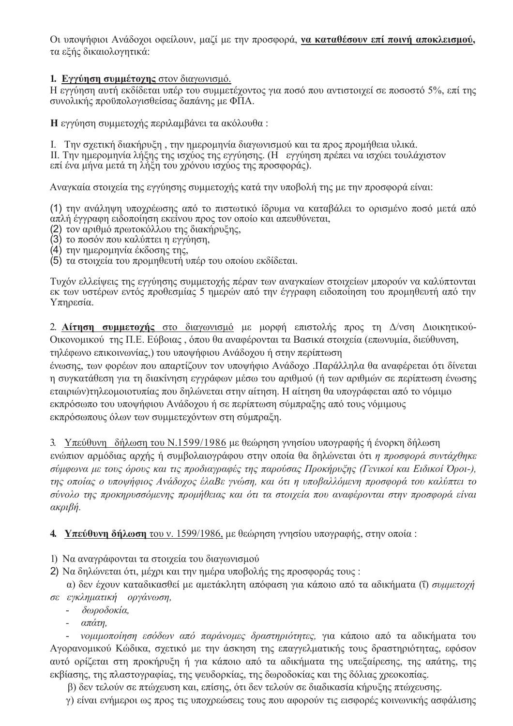Οι υποψήφιοι Ανάδοχοι οφείλουν, μαζί με την προσφορά, να καταθέσουν επί ποινή αποκλεισμού, τα εξής δικαιολογητικά:

## 1. Εγγύηση συμμέτοχης στον διαγωνισμό.

Η εγγύηση αυτή εκδίδεται υπέρ του συμμετέγοντος για ποσό που αντιστοιγεί σε ποσοστό 5%, επί της συνολικής προϋπολογισθείσας δαπάνης με ΦΠΑ.

Η εγγύηση συμμετοχής περιλαμβάνει τα ακόλουθα:

Ι. Την σχετική διακήρυξη, την ημερομηνία διαγωνισμού και τα προς προμήθεια υλικά.

II. Την ημερομηνία λήξης της ισχύος της εγγύησης. (Η εγγύηση πρέπει να ισχύει τουλάχιστον επί ένα μήνα μετά τη λήξη του χρόνου ισχύος της προσφοράς).

Αναγκαία στοιχεία της εγγύησης συμμετοχής κατά την υποβολή της με την προσφορά είναι:

(1) την ανάληψη υποχρέωσης από το πιστωτικό ίδρυμα να καταβάλει το ορισμένο ποσό μετά από απλή έγγραφη ειδοποίηση εκείνου προς τον οποίο και απευθύνεται.

- (2) τον αριθμό πρωτοκόλλου της διακήρυξης,
- (3) το ποσόν που καλύπτει η εγγύηση,
- $(4)$  την ημερομηνία έκδοσης της.
- (5) τα στοιγεία του προμηθευτή υπέρ του οποίου εκδίδεται.

Τυχόν ελλείψεις της εγγύησης συμμετοχής πέραν των αναγκαίων στοιχείων μπορούν να καλύπτονται εκ των υστέρων εντός προθεσμίας 5 ημερών από την έγγραφη ειδοποίηση του προμηθευτή από την Υπηρεσία.

2. Αίτηση συμμετοχής στο διαγωνισμό με μορφή επιστολής προς τη Δ/νση Διοικητικού-Οικονομικού της Π.Ε. Εύβοιας, όπου θα αναφέρονται τα Βασικά στοιχεία (επωνυμία, διεύθυνση, τηλέφωνο επικοινωνίας,) του υποψήφιου Ανάδοχου ή στην περίπτωση

ένωσης, των φορέων που απαρτίζουν τον υποψήφιο Ανάδοχο .Παράλληλα θα αναφέρεται ότι δίνεται η συγκατάθεση για τη διακίνηση εγγράφων μέσω του αριθμού (ή των αριθμών σε περίπτωση ένωσης εταιριών)τηλεομοιοτυπίας που δηλώνεται στην αίτηση. Η αίτηση θα υπογράφεται από το νόμιμο εκπρόσωπο του υποψήφιου Ανάδοχου ή σε περίπτωση σύμπραξης από τους νόμιμους εκπρόσωπους όλων των συμμετεχόντων στη σύμπραξη.

3. Υπεύθυνη δήλωση του Ν.1599/1986 με θεώρηση γνησίου υπογραφής ή ένορκη δήλωση

ενώπιον αρμόδιας αρχής ή συμβολαιογράφου στην οποία θα δηλώνεται ότι η προσφορά συντάχθηκε σύμφωνα με τους όρους και τις προδιαγραφές της παρούσας Προκήρυζης (Γενικοί και Ειδικοί Όροι-), της οποίας ο υποψήφιος Ανάδοχος έλαΒε γνώση, και ότι η υποβαλλόμενη προσφορά του καλύπτει το σύνολο της προκηρυσσόμενης προμήθειας και ότι τα στοιχεία που αναφέρονται στην προσφορά είναι  $\alpha$ κριβή.

**4.** Υπεύθυνη δήλωση του ν. 1599/1986, με θεώρηση γνησίου υπογραφής, στην οποία:

- 1) Να αναγράφονται τα στοιχεία του διαγωνισμού
- 2) Να δηλώνεται ότι, μέχρι και την ημέρα υποβολής της προσφοράς τους:

α) δεν έχουν καταδικασθεί με αμετάκλητη απόφαση για κάποιο από τα αδικήματα (ΐ) συμμετοχή σε εγκληματική οργάνωση,

- δωροδοκία,
- $\omega_{\rm{max}}$ απάτη,

νομιμοποίηση εσόδων από παράνομες δραστηριότητες, για κάποιο από τα αδικήματα του Αγορανομικού Κώδικα, σγετικό με την άσκηση της επαγγελματικής τους δραστηριότητας, εφόσον αυτό ορίζεται στη προκήρυξη ή για κάποιο από τα αδικήματα της υπεξαίρεσης, της απάτης, της εκβίασης, της πλαστογραφίας, της ψευδορκίας, της δωροδοκίας και της δόλιας χρεοκοπίας.

β) δεν τελούν σε πτώχευση και, επίσης, ότι δεν τελούν σε διαδικασία κήρυξης πτώχευσης.

γ) είναι ενήμεροι ως προς τις υποχρεώσεις τους που αφορούν τις εισφορές κοινωνικής ασφάλισης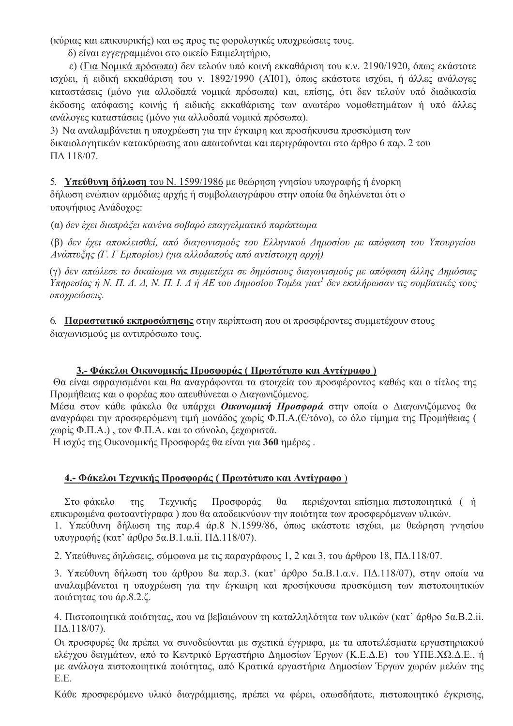(κύριας και επικουρικής) και ως προς τις φορολογικές υποχρεώσεις τους.

δ) είναι εγγεγραμμένοι στο οικείο Επιμελητήριο,

ε) (Για Νομικά πρόσωπα) δεν τελούν υπό κοινή εκκαθάριση του κ.ν. 2190/1920, όπως εκάστοτε ισχύει, ή ειδική εκκαθάριση του ν. 1892/1990 (ΑΤ01), όπως εκάστοτε ισχύει, ή άλλες ανάλογες καταστάσεις (μόνο για αλλοδαπά νομικά πρόσωπα) και, επίσης, ότι δεν τελούν υπό διαδικασία έκδοσης απόφασης κοινής ή ειδικής εκκαθάρισης των ανωτέρω νομοθετημάτων ή υπό άλλες ανάλογες καταστάσεις (μόνο για αλλοδαπά νομικά πρόσωπα).

3) Να αναλαμβάνεται η υπογρέωση για την έγκαιρη και προσήκουσα προσκόμιση των δικαιολογητικών κατακύρωσης που απαιτούνται και περιγράφονται στο άρθρο 6 παρ. 2 του  $\overline{A}$  118/07

5. Υπεύθυνη δήλωση του Ν. 1599/1986 με θεώρηση γνησίου υπογραφής ή ένορκη

δήλωση ενώπιον αρμόδιας αρχής ή συμβολαιογράφου στην οποία θα δηλώνεται ότι ο υποψήφιος Ανάδογος:

(α) δεν έχει διαπράζει κανένα σοβαρό επαγγελματικό παράπτωμα

(β) δεν έχει αποκλεισθεί, από διαγωνισμούς του Ελληνικού Δημοσίου με απόφαση του Υπουργείου Ανάπτυξης (Γ. Γ Εμπορίου) (για αλλοδαπούς από αντίστοιχη αρχή)

(γ) δεν απώλεσε το δικαίωμα να συμμετέχει σε δημόσιους διαγωνισμούς με απόφαση άλλης Δημόσιας Υπηρεσίας ή Ν. Π. Δ. Δ, Ν. Π. Ι. Δ ή ΑΕ του Δημοσίου Τομέα γιατ<sup>1</sup> δεν εκπλήρωσαν τις συμβατικές τους υποχρεώσεις.

6. Παραστατικό εκπροσώπησης στην περίπτωση που οι προσφέροντες συμμετέχουν στους διαγωνισμούς με αντιπρόσωπο τους.

# 3.- Φάκελοι Οικονομικής Προσφοράς (Πρωτότυπο και Αντίγραφο)

Θα είναι σφραγισμένοι και θα αναγράφονται τα στοιγεία του προσφέροντος καθώς και ο τίτλος της Προμήθειας και ο φορέας που απευθύνεται ο Διαγωνιζόμενος.

Μέσα στον κάθε φάκελο θα υπάρχει Οικονομική Προσφορά στην οποία ο Διαγωνιζόμενος θα αναγράφει την προσφερόμενη τιμή μονάδος χωρίς Φ.Π.Α. (ε/τόνο), το όλο τίμημα της Προμήθειας ( γωρίς Φ.Π.Α.), τον Φ.Π.Α. και το σύνολο, ξεγωριστά.

Η ισχύς της Οικονομικής Προσφοράς θα είναι για 360 ημέρες.

# 4.- Φάκελοι Τεχνικής Προσφοράς (Πρωτότυπο και Αντίγραφο)

 $\tau \eta \zeta$ Τεγνικής Προσφοράς  $\theta\alpha$ περιέγονται επίσημα πιστοποιητικά (ή Στο φάκελο επικυρωμένα φωτοαντίγραφα) που θα αποδεικνύουν την ποιότητα των προσφερόμενων υλικών.

1. Υπεύθυνη δήλωση της παρ.4 άρ.8 Ν.1599/86, όπως εκάστοτε ισχύει, με θεώρηση γνησίου υπογραφής (κατ' άρθρο 5α.Β.1.α.ii. ΠΔ.118/07).

2. Υπεύθυνες δηλώσεις, σύμφωνα με τις παραγράφους 1, 2 και 3, του άρθρου 18, ΠΔ.118/07.

3. Υπεύθυνη δήλωση του άρθρου 8α παρ.3. (κατ' άρθρο 5α.Β.1.α.ν. ΠΔ.118/07), στην οποία να αναλαμβάνεται η υποχρέωση για την έγκαιρη και προσήκουσα προσκόμιση των πιστοποιητικών ποιότητας του άρ.8.2.ζ.

4. Πιστοποιητικά ποιότητας, που να βεβαιώνουν τη καταλληλότητα των υλικών (κατ' άρθρο 5α.Β.2.ii.  $\Pi\Delta.118/07$ ).

Οι προσφορές θα πρέπει να συνοδεύονται με σχετικά έγγραφα, με τα αποτελέσματα εργαστηριακού ελέγχου δειγμάτων, από το Κεντρικό Εργαστήριο Δημοσίων Έργων (Κ.Ε.Δ.Ε) του ΥΠΕ.ΧΩ.Δ.Ε., ή με ανάλογα πιστοποιητικά ποιότητας, από Κρατικά εργαστήρια Δημοσίων Έργων χωρών μελών της EE.

Κάθε προσφερόμενο υλικό διανράμμισης, πρέπει να φέρει, οπωσδήποτε, πιστοποιητικό ένκρισης,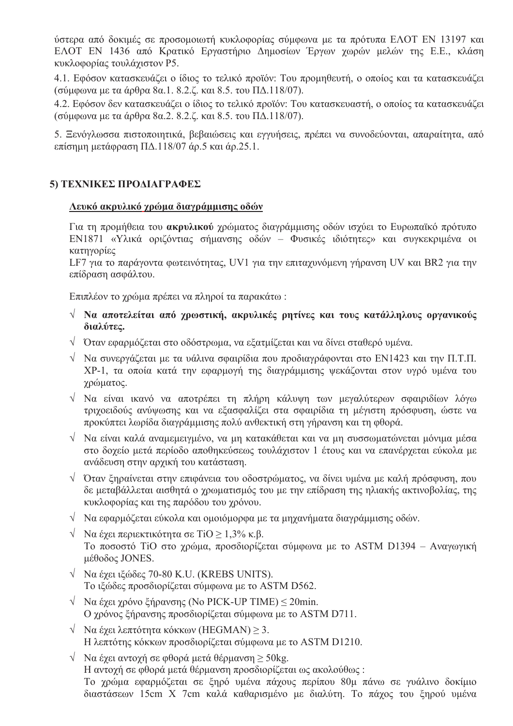ύστερα από δοκιμές σε προσομοιωτή κυκλοφορίας σύμφωνα με τα πρότυπα ΕΛΟΤ ΕΝ 13197 και ΕΛΟΤ ΕΝ 1436 από Κρατικό Εργαστήριο Δημοσίων Έργων χωρών μελών της Ε.Ε., κλάση κυκλοφορίας τουλάχιστον Ρ5.

4.1. Εφόσον κατασκευάζει ο ίδιος το τελικό προϊόν: Του προμηθευτή, ο οποίος και τα κατασκευάζει (σύμφωνα με τα άρθρα 8α.1, 8.2.ζ. και 8.5, του ΠΔ.118/07).

4.2. Εφόσον δεν κατασκευάζει ο ίδιος το τελικό προϊόν: Του κατασκευαστή, ο οποίος τα κατασκευάζει (σύμφωνα με τα άρθρα 8α.2, 8.2.ζ. και 8.5, του ΠΔ.118/07).

5. Ξενόγλωσσα πιστοποιητικά, βεβαιώσεις και εγγυήσεις, πρέπει να συνοδεύονται, απαραίτητα, από επίσημη μετάφραση ΠΔ.118/07 άρ.5 και άρ.25.1.

## 5) ΤΕΧΝΙΚΕΣ ΠΡΟΔΙΑΓΡΑΦΕΣ

#### Λευκό ακρυλικό χρώμα διαγράμμισης οδών

Για τη προμήθεια του **ακρυλικού** χρώματος διαγράμμισης οδών ισχύει το Ευρωπαϊκό πρότυπο EN1871 «Υλικά οριζόντιας σήμανσης οδών - Φυσικές ιδιότητες» και συγκεκριμένα οι κατηγορίες

LF7 για το παράγοντα φωτεινότητας, UV1 για την επιταχυνόμενη γήρανση UV και BR2 για την επίδραση ασφάλτου.

Επιπλέον το χρώμα πρέπει να πληροί τα παρακάτω:

- $\sqrt{N}$  Να αποτελείται από χρωστική, ακρυλικές ρητίνες και τους κατάλληλους οργανικούς διαλύτες.
- ν Όταν εφαρμόζεται στο οδόστρωμα, να εξατμίζεται και να δίνει σταθερό υμένα.
- $\sqrt{\phantom{a}}$  Να συνεργάζεται με τα υάλινα σφαιρίδια που προδιαγράφονται στο ΕΝ1423 και την Π.Τ.Π. ΧΡ-1, τα οποία κατά την εφαρμογή της διαγράμμισης ψεκάζονται στον υγρό υμένα του γρώματος.
- V Να είναι ικανό να αποτρέπει τη πλήρη κάλυψη των μεγαλύτερων σφαιριδίων λόγω τριγοειδούς ανύψωσης και να εξασφαλίζει στα σφαιρίδια τη μέγιστη πρόσφυση, ώστε να προκύπτει λωρίδα διαγράμμισης πολύ ανθεκτική στη γήρανση και τη φθορά.
- $\sqrt{2}$  Να είναι καλά αναμεμειγμένο, να μη κατακάθεται και να μη συσσωματώνεται μόνιμα μέσα στο δογείο μετά περίοδο αποθηκεύσεως τουλάγιστον 1 έτους και να επανέργεται εύκολα με ανάδευση στην αρχική του κατάσταση.
- $\sqrt{2}$  Όταν ξηραίνεται στην επιφάνεια του οδοστρώματος, να δίνει υμένα με καλή πρόσφυση, που δε μεταβάλλεται αισθητά ο χρωματισμός του με την επίδραση της ηλιακής ακτινοβολίας, της κυκλοφορίας και της παρόδου του χρόνου.
- V Nα εφαρμόζεται εύκολα και ομοιόμορφα με τα μηχανήματα διαγράμμισης οδών.
- $\sqrt{\phantom{a}}$  Nα έγει περιεκτικότητα σε TiO > 1.3% κ.β. Το ποσοστό TiO στο γρώμα, προσδιορίζεται σύμφωνα με το ASTM D1394 - Αναγωγική μέθοδος JONES.
- $\sqrt{\phantom{0}}$  Να έγει ιξώδες 70-80 K.U. (KREBS UNITS). Το ιξώδες προσδιορίζεται σύμφωνα με το ASTM D562.
- $\sqrt{\phantom{a}}$  Nα έγει γρόνο ξήρανσης (No PICK-UP TIME)  $\leq$  20min. Ο χρόνος ξήρανσης προσδιορίζεται σύμφωνα με το ASTM D711.
- $\sqrt{\phantom{a}}$  Να έχει λεπτότητα κόκκων (HEGMAN)  $\geq$  3. Η λεπτότης κόκκων προσδιορίζεται σύμφωνα με το ASTM D1210.
- $\sqrt{N\alpha}$  έγει αντογή σε φθορά μετά θέρμανση  $>$  50 kg. Η αντογή σε φθορά μετά θέρμανση προσδιορίζεται ως ακολούθως: Το χρώμα εφαρμόζεται σε ξηρό υμένα πάχους περίπου 80μ πάνω σε γυάλινο δοκίμιο διαστάσεων 15cm X 7cm καλά καθαρισμένο με διαλύτη. Το πάγος του ξηρού υμένα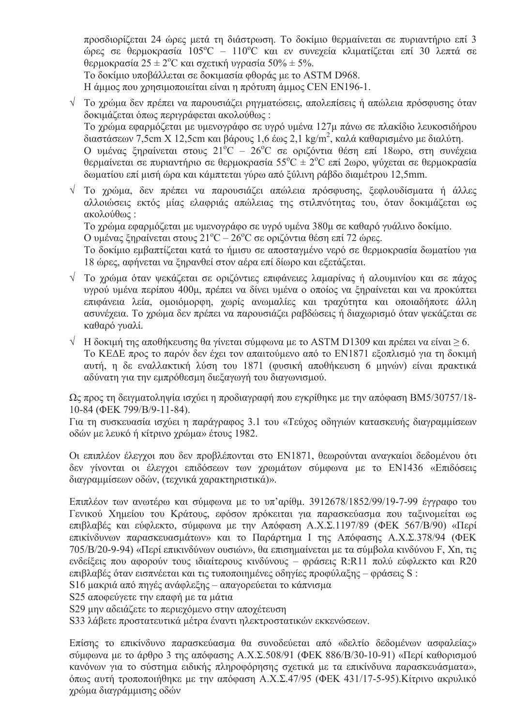προσδιορίζεται 24 ώρες μετά τη διάστρωση. Το δοκίμιο θερμαίνεται σε πυριαντήριο επί 3 ώρες σε θερμοκρασία  $105^{\circ}\text{C}$  –  $110^{\circ}\text{C}$  και εν συνεχεία κλιματίζεται επί 30 λεπτά σε θερμοκρασία 25 ± 2<sup>o</sup>C και σγετική υγρασία 50% ± 5%.

To δοκίμιο υποβάλλεται σε δοκιμασία φθοράς με το ASTM D968.

Η άμμος που γρησιμοποιείται είναι η πρότυπη άμμος CEN EN196-1.

 $\sqrt{\frac{1}{10}}$  το γρώμα δεν πρέπει να παρουσιάζει ρηγματώσεις, απολεπίσεις ή απώλεια πρόσφυσης όταν δοκιμάζεται όπως περιγράφεται ακολούθως: Το χρώμα εφαρμόζεται με υμενογράφο σε υγρό υμένα 127μ πάνω σε πλακίδιο λευκοσιδήρου

διαστάσεων 7,5cm X 12,5cm και βάρους 1,6 έως 2,1 kg/m<sup>2</sup>, καλά καθαρισμένο με διαλύτη.

Ο υμένας ξηραίνεται στους  $21^{\circ}$ C - 26°C σε οριζόντια θέση επί 18ωρο, στη συνέχεια θερμαίνεται σε πυριαντήριο σε θερμοκρασία 55<sup>°</sup>C  $\pm$  2<sup>°</sup>C επί 2ωρο, ψύχεται σε θερμοκρασία δωματίου επί μισή ώρα και κάμπτεται γύρω από ξύλινη ράβδο διαμέτρου 12,5mm.

V Το γρώμα, δεν πρέπει να παρουσιάζει απώλεια πρόσφυσης, ξεφλουδίσματα ή άλλες αλλοιώσεις εκτός μίας ελαφριάς απώλειας της στιλπνότητας του, όταν δοκιμάζεται ως ακολούθως:

Το χρώμα εφαρμόζεται με υμενογράφο σε υγρό υμένα 380μ σε καθαρό γυάλινο δοκίμιο.

Ο υμένας ξηραίνεται στους  $21^{\circ}$ C -  $26^{\circ}$ C σε οριζόντια θέση επί 72 ώρες.

Το δοκίμιο εμβαπτίζεται κατά το ήμισυ σε αποσταγμένο νερό σε θερμοκρασία δωματίου για 18 ώρες, αφήνεται να ξηρανθεί στον αέρα επί δίωρο και εξετάζεται.

- V Το γρώμα όταν ψεκάζεται σε οριζόντιες επιφάνειες λαμαρίνας ή αλουμινίου και σε πάχος υγρού υμένα περίπου 400μ, πρέπει να δίνει υμένα ο οποίος να ξηραίνεται και να προκύπτει επιφάνεια λεία, ομοιόμορφη, γωρίς ανωμαλίες και τραγύτητα και οποιαδήποτε άλλη ασυνέγεια. Το γρώμα δεν πρέπει να παρουσιάζει ραβδώσεις ή διαγωρισμό όταν ψεκάζεται σε καθαρό γυαλί.
- $\sqrt{1}$  Η δοκιμή της αποθήκευσης θα γίνεται σύμφωνα με το ASTM D1309 και πρέπει να είναι  $\geq 6$ . Το ΚΕΔΕ προς το παρόν δεν έχει τον απαιτούμενο από το ΕΝ1871 εξοπλισμό για τη δοκιμή αυτή, η δε εναλλακτική λύση του 1871 (φυσική αποθήκευση 6 μηνών) είναι πρακτικά αδύνατη για την εμπρόθεσμη διεξαγωγή του διαγωνισμού.

Ως προς τη δειγματοληψία ισχύει η προδιαγραφή που εγκρίθηκε με την απόφαση ΒΜ5/30757/18-10-84 (ФЕК 799/В/9-11-84).

Για τη συσκευασία ισχύει η παράγραφος 3.1 του «Τεύχος οδηγιών κατασκευής διαγραμμίσεων οδών με λευκό ή κίτρινο γρώμα» έτους 1982.

Οι επιπλέον έλεγχοι που δεν προβλέπονται στο ΕΝ1871, θεωρούνται αναγκαίοι δεδομένου ότι δεν γίνονται οι έλεγχοι επιδόσεων των χρωμάτων σύμφωνα με το EN1436 «Επιδόσεις διαγραμμίσεων οδών, (τεχνικά χαρακτηριστικά)».

Επιπλέον των ανωτέρω και σύμφωνα με το υπ'αρίθμ. 3912678/1852/99/19-7-99 έγγραφο του Γενικού Χημείου του Κράτους, εφόσον πρόκειται για παρασκεύασμα που ταξινομείται ως επιβλαβές και εύφλεκτο, σύμφωνα με την Απόφαση Α.Χ.Σ.1197/89 (ΦΕΚ 567/Β/90) «Περί επικίνδυνων παρασκευασμάτων» και το Παράρτημα Ι της Απόφασης Α.Χ.Σ.378/94 (ΦΕΚ 705/B/20-9-94) «Περί επικινδύνων ουσιών», θα επισημαίνεται με τα σύμβολα κινδύνου F, Xn, τις ενδείξεις που αφορούν τους ιδιαίτερους κινδύνους – φράσεις R:R11 πολύ εύφλεκτο και R20 επιβλαβές όταν εισπνέεται και τις τυποποιημένες οδηγίες προφύλαξης – φράσεις S:

S16 μακριά από πηγές ανάφλεξης - απαγορεύεται το κάπνισμα

S25 αποφεύγετε την επαφή με τα μάτια

S29 μην αδειάζετε το περιεγόμενο στην απογέτευση

S33 λάβετε προστατευτικά μέτρα έναντι ηλεκτροστατικών εκκενώσεων.

Επίσης το επικίνδυνο παρασκεύασμα θα συνοδεύεται από «δελτίο δεδομένων ασφαλείας» σύμφωνα με το άρθρο 3 της απόφασης Α.Χ.Σ.508/91 (ΦΕΚ 886/Β/30-10-91) «Περί καθορισμού κανόνων για το σύστημα ειδικής πληροφόρησης σχετικά με τα επικίνδυνα παρασκευάσματα», όπως αυτή τροποποιήθηκε με την απόφαση Α.Χ.Σ.47/95 (ΦΕΚ 431/17-5-95). Κίτρινο ακρυλικό γρώμα διαγράμμισης οδών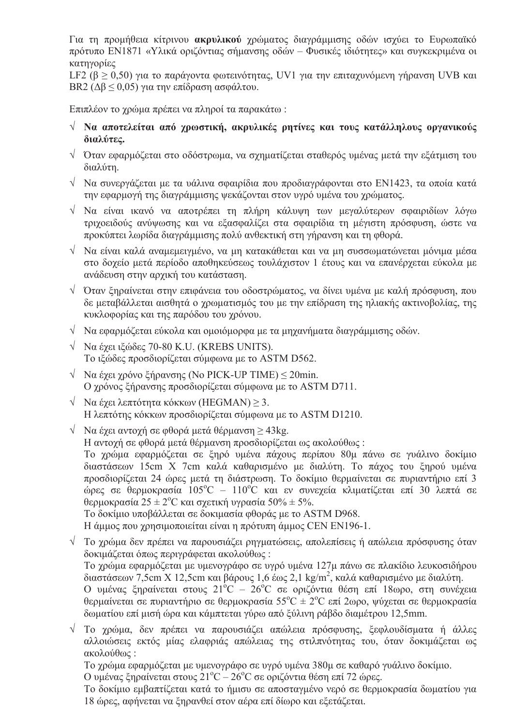Για τη προμήθεια κίτρινου ακρυλικού χρώματος διαγράμμισης οδών ισχύει το Ευρωπαϊκό ποότυπο EN1871 «Υλικά οριζόντιας σήμανσης οδών - Φυσικές ιδιότητες» και συγκεκριμένα οι κατηγορίες

LF2 ( $\beta \ge 0.50$ ) για το παράγοντα φωτεινότητας, UV1 για την επιταγυνόμενη γήρανση UVB και BR2 (Δ $\beta$   $\leq$  0,05) για την επίδραση ασφάλτου.

Επιπλέον το γρώμα πρέπει να πληροί τα παρακάτω:

- $\sqrt{N}$  Να αποτελείται από χρωστική, ακρυλικές ρητίνες και τους κατάλληλους οργανικούς διαλύτες.
- ν Όταν εφαρμόζεται στο οδόστρωμα, να σχηματίζεται σταθερός υμένας μετά την εξάτμιση του διαλύτη.
- $\sqrt{N}$  Να συνεργάζεται με τα υάλινα σφαιρίδια που προδιαγράφονται στο EN1423, τα οποία κατά την εφαρμογή της διαγράμμισης ψεκάζονται στον υγρό υμένα του γρώματος.
- V Να είναι ικανό να αποτρέπει τη πλήρη κάλυψη των μεγαλύτερων σφαιριδίων λόγω τριχοειδούς ανύψωσης και να εξασφαλίζει στα σφαιρίδια τη μέγιστη πρόσφυση, ώστε να προκύπτει λωρίδα διαγράμμισης πολύ ανθεκτική στη γήρανση και τη φθορά.
- $\sqrt{2}$  Να είναι καλά αναμεμειγμένο, να μη κατακάθεται και να μη συσσωματώνεται μόνιμα μέσα στο δοχείο μετά περίοδο αποθηκεύσεως τουλάχιστον 1 έτους και να επανέρχεται εύκολα με ανάδευση στην αρχική του κατάσταση.
- $\sqrt{2}$  Όταν ξηραίνεται στην επιφάνεια του οδοστρώματος, να δίνει υμένα με καλή πρόσφυση, που δε μεταβάλλεται αισθητά ο χρωματισμός του με την επίδραση της ηλιακής ακτινοβολίας, της κυκλοφορίας και της παρόδου του χρόνου.
- ν Να εφαρμόζεται εύκολα και ομοιόμορφα με τα μηχανήματα διαγράμμισης οδών.
- $\sqrt{\phantom{0}}$  Να έχει ιξώδες 70-80 K.U. (KREBS UNITS). Το ιξώδες προσδιορίζεται σύμφωνα με το ASTM D562.
- $\sqrt{\phantom{a}}$  Nα έχει χρόνο ξήρανσης (No PICK-UP TIME) < 20min. Ο χρόνος ξήρανσης προσδιορίζεται σύμφωνα με το ASTM D711.
- $\sqrt{\phantom{a}}$  Να έγει λεπτότητα κόκκων (HEGMAN) > 3. Η λεπτότης κόκκων προσδιορίζεται σύμφωνα με το ASTM D1210.
- $\sqrt{N\alpha}$  έγει αντογή σε φθορά μετά θέρμανση > 43 kg. Η αντογή σε φθορά μετά θέρμανση προσδιορίζεται ως ακολούθως: Το χρώμα εφαρμόζεται σε ξηρό υμένα πάχους περίπου 80μ πάνω σε γυάλινο δοκίμιο διαστάσεων 15cm X 7cm καλά καθαρισμένο με διαλύτη. Το πάχος του ξηρού υμένα προσδιορίζεται 24 ώρες μετά τη διάστρωση. Το δοκίμιο θερμαίνεται σε πυριαντήριο επί 3 ώρες σε θερμοκρασία  $105^{\circ}\text{C} - 110^{\circ}\text{C}$  και εν συνεγεία κλιματίζεται επί 30 λεπτά σε θερμοκρασία 25 ± 2<sup>o</sup>C και σχετική υγρασία 50% ± 5%. Το δοκίμιο υποβάλλεται σε δοκιμασία φθοράς με το ASTM D968. Η άμμος που γρησιμοποιείται είναι η πρότυπη άμμος CEN EN196-1.
- $\sqrt{\frac{1}{10}}$  γρώμα δεν πρέπει να παρουσιάζει ρηγματώσεις, απολεπίσεις ή απώλεια πρόσφυσης όταν δοκιμάζεται όπως περιγράφεται ακολούθως: Το γρώμα εφαρμόζεται με υμενογράφο σε υγρό υμένα 127μ πάνω σε πλακίδιο λευκοσιδήρου διαστάσεων 7,5cm X 12,5cm και βάρους 1,6 έως 2,1 kg/m<sup>2</sup>, καλά καθαρισμένο με διαλύτη. Ο υμένας ξηραίνεται στους  $21^{\circ}$ C -  $26^{\circ}$ C σε οριζόντια θέση επί 18ωρο, στη συνέγεια θερμαίνεται σε πυριαντήριο σε θερμοκρασία 55<sup>°</sup>C  $\pm 2$ <sup>°</sup>C επί 2ωρο, ψύγεται σε θερμοκρασία δωματίου επί μισή ώρα και κάμπτεται γύρω από ξύλινη ράβδο διαμέτρου 12,5mm.
- V Το χρώμα, δεν πρέπει να παρουσιάζει απώλεια πρόσφυσης, ξεφλουδίσματα ή άλλες αλλοιώσεις εκτός μίας ελαφριάς απώλειας της στιλπνότητας του, όταν δοκιμάζεται ως ακολούθως:

Το γρώμα εφαρμόζεται με υμενογράφο σε υγρό υμένα 380μ σε καθαρό γυάλινο δοκίμιο. Ο υμένας ξηραίνεται στους 21<sup>°</sup>C - 26<sup>°</sup>C σε οριζόντια θέση επί 72 ώρες.

Το δοκίμιο εμβαπτίζεται κατά το ήμισυ σε αποσταγμένο νερό σε θερμοκρασία δωματίου για 18 ώρες, αφήνεται να ξηρανθεί στον αέρα επί δίωρο και εξετάζεται.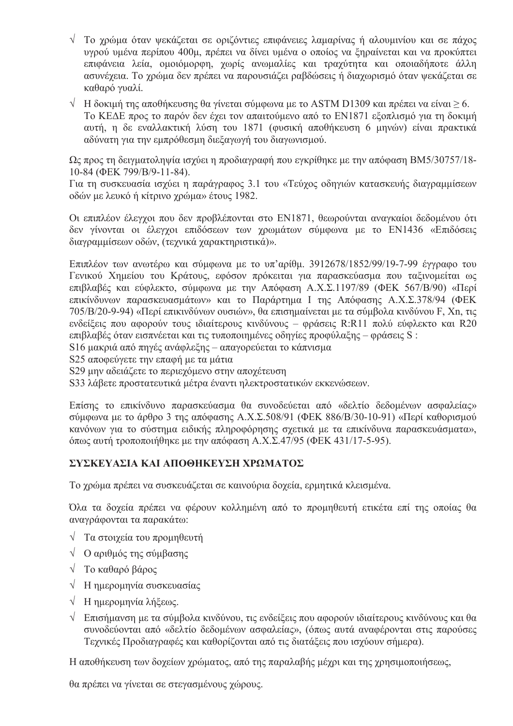- $\sqrt{\ }$  Το γρώμα όταν ψεκάζεται σε οριζόντιες επιφάνειες λαμαρίνας ή αλουμινίου και σε πάγος υγρού υμένα περίπου 400μ, πρέπει να δίνει υμένα ο οποίος να ξηραίνεται και να προκύπτει επιφάνεια λεία, ομοιόμορφη, χωρίς ανωμαλίες και τραχύτητα και οποιαδήποτε άλλη ασυνέχεια. Το χρώμα δεν πρέπει να παρουσιάζει ραβδώσεις ή διαχωρισμό όταν ψεκάζεται σε καθαρό γυαλί.
- $\sqrt{\frac{1}{10}}$  Η δοκιμή της αποθήκευσης θα γίνεται σύμφωνα με το ASTM D1309 και πρέπει να είναι  $\geq$  6. Το ΚΕΔΕ προς το παρόν δεν έχει τον απαιτούμενο από το ΕΝ1871 εξοπλισμό για τη δοκιμή αυτή, η δε εναλλακτική λύση του 1871 (φυσική αποθήκευση 6 μηνών) είναι πρακτικά αδύνατη για την εμπρόθεσμη διεξαγωγή του διαγωνισμού.

Ως προς τη δειγματοληψία ισχύει η προδιαγραφή που εγκρίθηκε με την απόφαση BM5/30757/18-10-84 (ФЕК 799/В/9-11-84).

Για τη συσκευασία ισχύει η παράγραφος 3.1 του «Τεύχος οδηγιών κατασκευής διαγραμμίσεων οδών με λευκό ή κίτρινο γρώμα» έτους 1982.

Οι επιπλέον έλεγχοι που δεν προβλέπονται στο ΕΝ1871, θεωρούνται αναγκαίοι δεδομένου ότι δεν γίνονται οι έλεγχοι επιδόσεων των χρωμάτων σύμφωνα με το EN1436 «Επιδόσεις διαγραμμίσεων οδών, (τεγνικά γαρακτηριστικά)».

Επιπλέον των ανωτέρω και σύμφωνα με το υπ'αρίθμ. 3912678/1852/99/19-7-99 έγγραφο του Γενικού Χημείου του Κράτους, εφόσον πρόκειται για παρασκεύασμα που ταξινομείται ως επιβλαβές και εύφλεκτο, σύμφωνα με την Απόφαση Α.Χ.Σ.1197/89 (ΦΕΚ 567/Β/90) «Περί επικίνδυνων παρασκευασμάτων» και το Παράρτημα I της Απόφασης Α.Χ.Σ.378/94 (ΦΕΚ 705/B/20-9-94) «Περί επικινδύνων ουσιών», θα επισημαίνεται με τα σύμβολα κινδύνου F, Xn, τις ενδείξεις που αφορούν τους ιδιαίτερους κινδύνους - φράσεις R:R11 πολύ εύφλεκτο και R20 επιβλαβές όταν εισπνέεται και τις τυποποιημένες οδηγίες προφύλαξης – φράσεις S:

S16 μακριά από πηγές ανάφλεξης – απαγορεύεται το κάπνισμα

S25 αποφεύγετε την επαφή με τα μάτια

S29 μην αδειάζετε το περιεχόμενο στην αποχέτευση

S33 λάβετε προστατευτικά μέτρα έναντι ηλεκτροστατικών εκκενώσεων.

Επίσης το επικίνδυνο παρασκεύασμα θα συνοδεύεται από «δελτίο δεδομένων ασφαλείας» σύμφωνα με το άρθρο 3 της απόφασης Α.Χ.Σ.508/91 (ΦΕΚ 886/Β/30-10-91) «Περί καθορισμού κανόνων για το σύστημα ειδικής πληροφόρησης σχετικά με τα επικίνδυνα παρασκευάσματα», όπως αυτή τροποποιήθηκε με την απόφαση Α.Χ.Σ.47/95 (ΦΕΚ 431/17-5-95).

# ΣΥΣΚΕΥΑΣΙΑ ΚΑΙ ΑΠΟΘΗΚΕΥΣΗ ΧΡΩΜΑΤΟΣ

Το χρώμα πρέπει να συσκευάζεται σε καινούρια δοχεία, ερμητικά κλεισμένα.

Όλα τα δογεία πρέπει να φέρουν κολλημένη από το προμηθευτή ετικέτα επί της οποίας θα αναγράφονται τα παρακάτω:

- $\sqrt{\frac{1}{\pi}}$  Τα στοιχεία του προμηθευτή
- V Ο αριθμός της σύμβασης
- $\sqrt{\frac{1}{\pi}}$  Το καθαρό βάρος
- V Η ημερομηνία συσκευασίας
- $\sqrt{H}$  ημερομηνία λήξεως.
- $\sqrt{\frac{1}{2}}$  Επισήμανση με τα σύμβολα κινδύνου, τις ενδείξεις που αφορούν ιδιαίτερους κινδύνους και θα συνοδεύονται από «δελτίο δεδομένων ασφαλείας», (όπως αυτά αναφέρονται στις παρούσες Τεχνικές Προδιαγραφές και καθορίζονται από τις διατάξεις που ισχύουν σήμερα).

Η αποθήκευση των δοχείων χρώματος, από της παραλαβής μέχρι και της χρησιμοποιήσεως,

θα πρέπει να γίνεται σε στεγασμένους χώρους.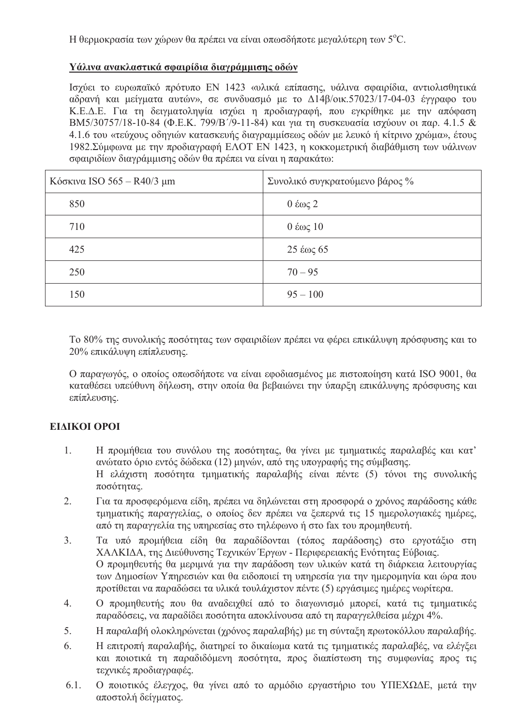Η θερμοκρασία των γώρων θα πρέπει να είναι οπωσδήποτε μεγαλύτερη των 5<sup>o</sup>C.

### Υάλινα ανακλαστικά σφαιρίδια διαγράμμισης οδών

Ισχύει το ευρωπαϊκό πρότυπο EN 1423 «υλικά επίπασης, υάλινα σφαιρίδια, αντιολισθητικά αδρανή και μείγματα αυτών», σε συνδυασμό με το Δ14β/οικ.57023/17-04-03 έγγραφο του Κ.Ε.Δ.Ε. Για τη δειγματοληψία ισχύει η προδιαγραφή, που εγκρίθηκε με την απόφαση BM5/30757/18-10-84 (Φ.Ε.Κ. 799/Β'/9-11-84) και για τη συσκευασία ισγύουν οι παρ. 4.1.5 & 4.1.6 του «τεύχους οδηγιών κατασκευής διαγραμμίσεως οδών με λευκό ή κίτρινο γρώμα» έτους 1982. Σύμφωνα με την προδιαγραφή ΕΛΟΤ ΕΝ 1423, η κοκκομετρική διαβάθμιση των υάλινων σφαιριδίων διαγράμμισης οδών θα πρέπει να είναι η παρακάτω:

| Κόσκινα ISO 565 - $R40/3$ μm | Συνολικό συγκρατούμενο βάρος %             |
|------------------------------|--------------------------------------------|
| 850                          | $0 \n\times 2$                             |
| 710                          | $0 \angle \omega \zeta 10$                 |
| 425                          | $25 \text{ } \epsilon \omega \varsigma 65$ |
| 250                          | $70 - 95$                                  |
| 150                          | $95 - 100$                                 |

Το 80% της συνολικής ποσότητας των σφαιριδίων πρέπει να φέρει επικάλυψη πρόσφυσης και το 20% επικάλυψη επίπλευσης.

Ο παραγωγός, ο οποίος οπωσδήποτε να είναι εφοδιασμένος με πιστοποίηση κατά ISO 9001, θα καταθέσει υπεύθυνη δήλωση, στην οποία θα βεβαιώνει την ύπαρξη επικάλυψης πρόσφυσης και επίπλευσης.

# **EIAIKOI OPOI**

- $1.$ Η προμήθεια του συνόλου της ποσότητας, θα γίνει με τμηματικές παραλαβές και κατ' ανώτατο όριο εντός δώδεκα (12) μηνών, από της υπογραφής της σύμβασης. Η ελάχιστη ποσότητα τμηματικής παραλαβής είναι πέντε (5) τόνοι της συνολικής ποσότητας.
- $\overline{2}$ . Για τα προσφερόμενα είδη, πρέπει να δηλώνεται στη προσφορά ο χρόνος παράδοσης κάθε τμηματικής παραγγελίας, ο οποίος δεν πρέπει να ξεπερνά τις 15 ημερολογιακές ημέρες, από τη παραγγελία της υπηρεσίας στο τηλέφωνο ή στο fax του προμηθευτή.
- $3<sub>1</sub>$ Τα υπό προμήθεια είδη θα παραδίδονται (τόπος παράδοσης) στο εργοτάξιο στη ΧΑΛΚΙΔΑ, της Διεύθυνσης Τεχνικών Έργων - Περιφερειακής Ενότητας Εύβοιας. Ο προμηθευτής θα μεριμνά για την παράδοση των υλικών κατά τη διάρκεια λειτουργίας των Δημοσίων Υπηρεσιών και θα ειδοποιεί τη υπηρεσία για την ημερομηνία και ώρα που προτίθεται να παραδώσει τα υλικά τουλάχιστον πέντε (5) εργάσιμες ημέρες νωρίτερα.
- $4.$ Ο προμηθευτής που θα αναδειχθεί από το διαγωνισμό μπορεί, κατά τις τμηματικές παραδόσεις, να παραδίδει ποσότητα αποκλίνουσα από τη παραγγελθείσα μέχρι 4%.
- 5. Η παραλαβή ολοκληρώνεται (χρόνος παραλαβής) με τη σύνταξη πρωτοκόλλου παραλαβής.
- 6. Η επιτροπή παραλαβής, διατηρεί το δικαίωμα κατά τις τμηματικές παραλαβές, να ελέγξει και ποιοτικά τη παραδιδόμενη ποσότητα, προς διαπίστωση της συμφωνίας προς τις τεγνικές προδιαγραφές.
- Ο ποιοτικός έλεγγος, θα γίνει από το αρμόδιο εργαστήριο του ΥΠΕΧΩΔΕ, μετά την  $6.1.$ αποστολή δείγματος.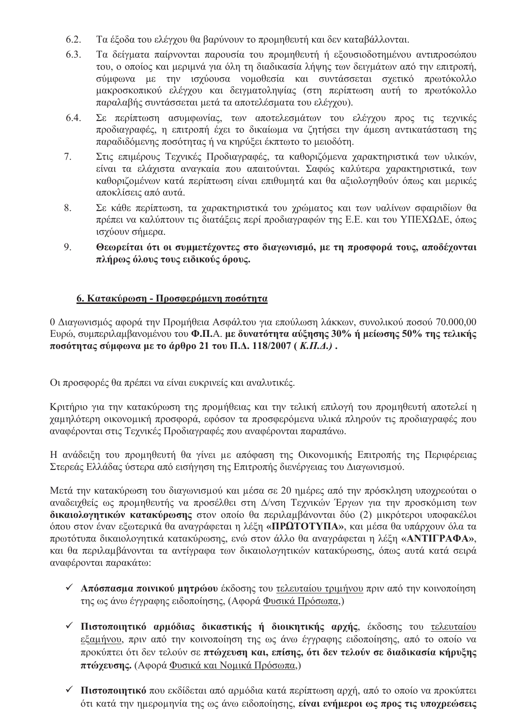- 6.2. Τα έξοδα του ελέγχου θα βαρύνουν το προμηθευτή και δεν καταβάλλονται.
- $6.3.$ Τα δείγματα παίρνονται παρουσία του προμηθευτή ή εξουσιοδοτημένου αντιπροσώπου του, ο οποίος και μεριμνά για όλη τη διαδικασία λήψης των δειγμάτων από την επιτροπή, σύμφωνα με την ισχύουσα νομοθεσία και συντάσσεται σχετικό πρωτόκολλο μακροσκοπικού ελέγχου και δειγματοληψίας (στη περίπτωση αυτή το πρωτόκολλο παραλαβής συντάσσεται μετά τα αποτελέσματα του ελέγχου).
- 6.4. Σε περίπτωση ασυμφωνίας, των αποτελεσμάτων του ελέγχου προς τις τεχνικές προδιαγραφές, η επιτροπή έγει το δικαίωμα να ζητήσει την άμεση αντικατάσταση της παραδιδόμενης ποσότητας ή να κηρύξει έκπτωτο το μειοδότη.
- Στις επιμέρους Τεχνικές Προδιαγραφές, τα καθοριζόμενα χαρακτηριστικά των υλικών,  $7.$ είναι τα ελάχιστα αναγκαία που απαιτούνται. Σαφώς καλύτερα χαρακτηριστικά, των καθοριζομένων κατά περίπτωση είναι επιθυμητά και θα αξιολογηθούν όπως και μερικές αποκλίσεις από αυτά.
- 8. Σε κάθε περίπτωση, τα χαρακτηριστικά του χρώματος και των υαλίνων σφαιριδίων θα πρέπει να καλύπτουν τις διατάξεις περί προδιαγραφών της Ε.Ε. και του ΥΠΕΧΩΔΕ, όπως ισχύουν σήμερα.
- 9. Θεωρείται ότι οι συμμετέχοντες στο διαγωνισμό, με τη προσφορά τους, αποδέχονται πλήρως όλους τους ειδικούς όρους.

## 6. Κατακύρωση - Προσφερόμενη ποσότητα

0 Διαγωνισμός αφορά την Προμήθεια Ασφάλτου για επούλωση λάκκων, συνολικού ποσού 70.000,00 Ευρώ, συμπεριλαμβανομένου του Φ.Π.Α. με δυνατότητα αύξησης 30% ή μείωσης 50% της τελικής ποσότητας σύμφωνα με το άρθρο 21 του Π.Δ. 118/2007 (K.Π.Δ.).

Οι προσφορές θα πρέπει να είναι ευκρινείς και αναλυτικές.

Κριτήριο για την κατακύρωση της προμήθειας και την τελική επιλογή του προμηθευτή αποτελεί η γαμηλότερη οικονομική προσφορά, εφόσον τα προσφερόμενα υλικά πληρούν τις προδιαγραφές που αναφέρονται στις Τεγνικές Προδιαγραφές που αναφέρονται παραπάνω.

Η ανάδειξη του προμηθευτή θα γίνει με απόφαση της Οικονομικής Επιτροπής της Περιφέρειας Στερεάς Ελλάδας ύστερα από εισήγηση της Επιτροπής διενέργειας του Διαγωνισμού.

Μετά την κατακύρωση του διαγωνισμού και μέσα σε 20 ημέρες από την πρόσκληση υποχρεούται ο αναδειχθείς ως προμηθευτής να προσέλθει στη Δ/νση Τεχνικών Έργων για την προσκόμιση των δικαιολογητικών κατακύρωσης στον οποίο θα περιλαμβάνονται δύο (2) μικρότεροι υποφακέλοι όπου στον έναν εξωτερικά θα αναγράφεται η λέξη «ΠΡΩΤΟΤΥΠΑ», και μέσα θα υπάργουν όλα τα πρωτότυπα δικαιολογητικά κατακύρωσης, ενώ στον άλλο θα αναγράφεται η λέξη «ΑΝΤΙΓΡΑΦΑ», και θα περιλαμβάνονται τα αντίγραφα των δικαιολογητικών κατακύρωσης, όπως αυτά κατά σειρά αναφέρονται παρακάτω:

- Απόσπασμα ποινικού μητρώου έκδοσης του <u>τελευταίου τριμήνου</u> πριν από την κοινοποίηση της ως άνω έγγραφης ειδοποίησης, (Αφορά Φυσικά Πρόσωπα,)
- V Πιστοποιητικό αρμόδιας δικαστικής ή διοικητικής αρχής, έκδοσης του τελευταίου εξαμήνου, πριν από την κοινοποίηση της ως άνω έγγραφης ειδοποίησης, από το οποίο να προκύπτει ότι δεν τελούν σε πτώχευση και, επίσης, ότι δεν τελούν σε διαδικασία κήρυξης πτώγευσης. (Αφορά Φυσικά και Νομικά Πρόσωπα,)
- $\checkmark$  Πιστοποιητικό που εκδίδεται από αρμόδια κατά περίπτωση αργή, από το οποίο να προκύπτει ότι κατά την ημερομηνία της ως άνω ειδοποίησης, είναι ενήμεροι ως προς τις υποχρεώσεις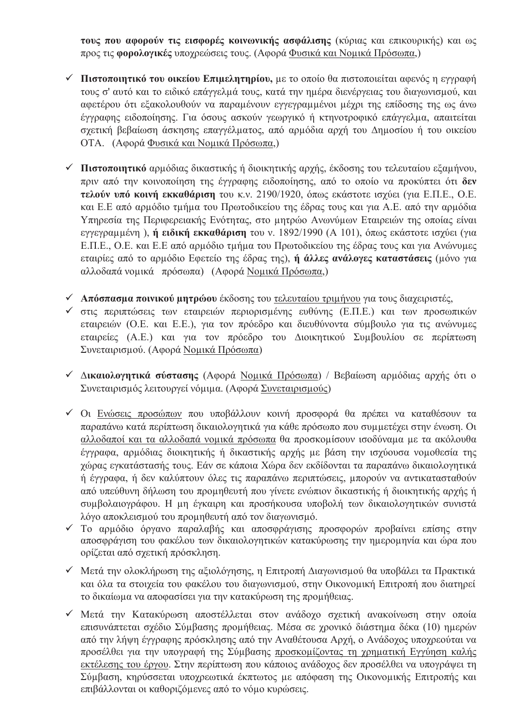τους που αφορούν τις εισφορές κοινωνικής ασφάλισης (κύριας και επικουρικής) και ως προς τις φορολογικές υποχρεώσεις τους. (Αφορά Φυσικά και Νομικά Πρόσωπα,)

- $\checkmark$  Πιστοποιητικό του οικείου Επιμελητηρίου, με το οποίο θα πιστοποιείται αφενός η εγγραφή τους σ' αυτό και το ειδικό επάγγελμά τους, κατά την ημέρα διενέργειας του διαγωνισμού, και αφετέρου ότι εξακολουθούν να παραμένουν εγγεγραμμένοι μέχρι της επίδοσης της ως άνω έγγραφης ειδοποίησης. Για όσους ασκούν γεωργικό ή κτηνοτροφικό επάγγελμα, απαιτείται σγετική βεβαίωση άσκησης επαγγέλματος, από αρμόδια αργή του Δημοσίου ή του οικείου ΟΤΑ. (Αφορά Φυσικά και Νομικά Πρόσωπα.)
- Πιστοποιητικό αρμόδιας δικαστικής ή διοικητικής αρχής, έκδοσης του τελευταίου εξαμήνου, πριν από την κοινοποίηση της έγγραφης ειδοποίησης, από το οποίο να προκύπτει ότι δεν τελούν υπό κοινή εκκαθάριση του κ.ν. 2190/1920, όπως εκάστοτε ισχύει (για Ε.Π.Ε., Ο.Ε. και Ε.Ε από αρμόδιο τμήμα του Πρωτοδικείου της έδρας τους και για Α.Ε. από την αρμόδια Υπηρεσία της Περιφερειακής Ενότητας, στο μητρώο Ανωνύμων Εταιρειών της οποίας είναι εγγεγραμμένη), ή ειδική εκκαθάριση του ν. 1892/1990 (Α 101), όπως εκάστοτε ισχύει (για Ε.Π.Ε., Ο.Ε. και Ε.Ε από αρμόδιο τμήμα του Πρωτοδικείου της έδρας τους και για Ανώνυμες εταιρίες από το αρμόδιο Εφετείο της έδρας της), ή άλλες ανάλογες καταστάσεις (μόνο για αλλοδαπά νομικά πρόσωπα) (Αφορά Νομικά Πρόσωπα,)
- ν Απόσπασμα ποινικού μητρώου έκδοσης του τελευταίου τριμήνου για τους διαχειριστές,
- ν στις περιπτώσεις των εταιρειών περιορισμένης ευθύνης (Ε.Π.Ε.) και των προσωπικών εταιρειών (Ο.Ε. και Ε.Ε.), για τον πρόεδρο και διευθύνοντα σύμβουλο για τις ανώνυμες εταιρείες (Α.Ε.) και για τον πρόεδρο του Διοικητικού Συμβουλίου σε περίπτωση Συνεταιρισμού. (Αφορά Νομικά Πρόσωπα)
- ν Δικαιολογητικά σύστασης (Αφορά Νομικά Πρόσωπα) / Βεβαίωση αρμόδιας αρχής ότι ο Συνεταιρισμός λειτουργεί νόμιμα. (Αφορά Συνεταιρισμούς)
- ν Οι Ενώσεις προσώπων που υποβάλλουν κοινή προσφορά θα πρέπει να καταθέσουν τα παραπάνω κατά περίπτωση δικαιολογητικά για κάθε πρόσωπο που συμμετέχει στην ένωση. Οι αλλοδαποί και τα αλλοδαπά νομικά πρόσωπα θα προσκομίσουν ισοδύναμα με τα ακόλουθα έγγραφα, αρμόδιας διοικητικής ή δικαστικής αρχής με βάση την ισχύουσα νομοθεσία της γώρας εγκατάστασής τους. Εάν σε κάποια Χώρα δεν εκδίδονται τα παραπάνω δικαιολογητικά ή έγγραφα, ή δεν καλύπτουν όλες τις παραπάνω περιπτώσεις, μπορούν να αντικατασταθούν από υπεύθυνη δήλωση του προμηθευτή που γίνετε ενώπιον δικαστικής ή διοικητικής αργής ή συμβολαιογράφου. Η μη έγκαιρη και προσήκουσα υποβολή των δικαιολογητικών συνιστά λόγο αποκλεισμού του προμηθευτή από τον διαγωνισμό.
- V Το αρμόδιο όργανο παραλαβής και αποσφράγισης προσφορών προβαίνει επίσης στην αποσφράγιση του φακέλου των δικαιολογητικών κατακύρωσης την ημερομηνία και ώρα που ορίζεται από σχετική πρόσκληση.
- ν Μετά την ολοκλήρωση της αξιολόγησης, η Επιτροπή Διαγωνισμού θα υποβάλει τα Πρακτικά και όλα τα στοιχεία του φακέλου του διαγωνισμού, στην Οικονομική Επιτροπή που διατηρεί το δικαίωμα να αποφασίσει για την κατακύρωση της προμήθειας.
- ν Μετά την Κατακύρωση αποστέλλεται στον ανάδοχο σχετική ανακοίνωση στην οποία επισυνάπτεται σχέδιο Σύμβασης προμήθειας. Μέσα σε χρονικό διάστημα δέκα (10) ημερών από την λήψη έγγραφης πρόσκλησης από την Αναθέτουσα Αργή, ο Ανάδογος υπογρεούται να προσέλθει για την υπογραφή της Σύμβασης προσκομίζοντας τη γρηματική Εγγύηση καλής εκτέλεσης του έργου. Στην περίπτωση που κάποιος ανάδοχος δεν προσέλθει να υπογράψει τη Σύμβαση, κηρύσσεται υποχρεωτικά έκπτωτος με απόφαση της Οικονομικής Επιτροπής και επιβάλλονται οι καθοριζόμενες από το νόμο κυρώσεις.